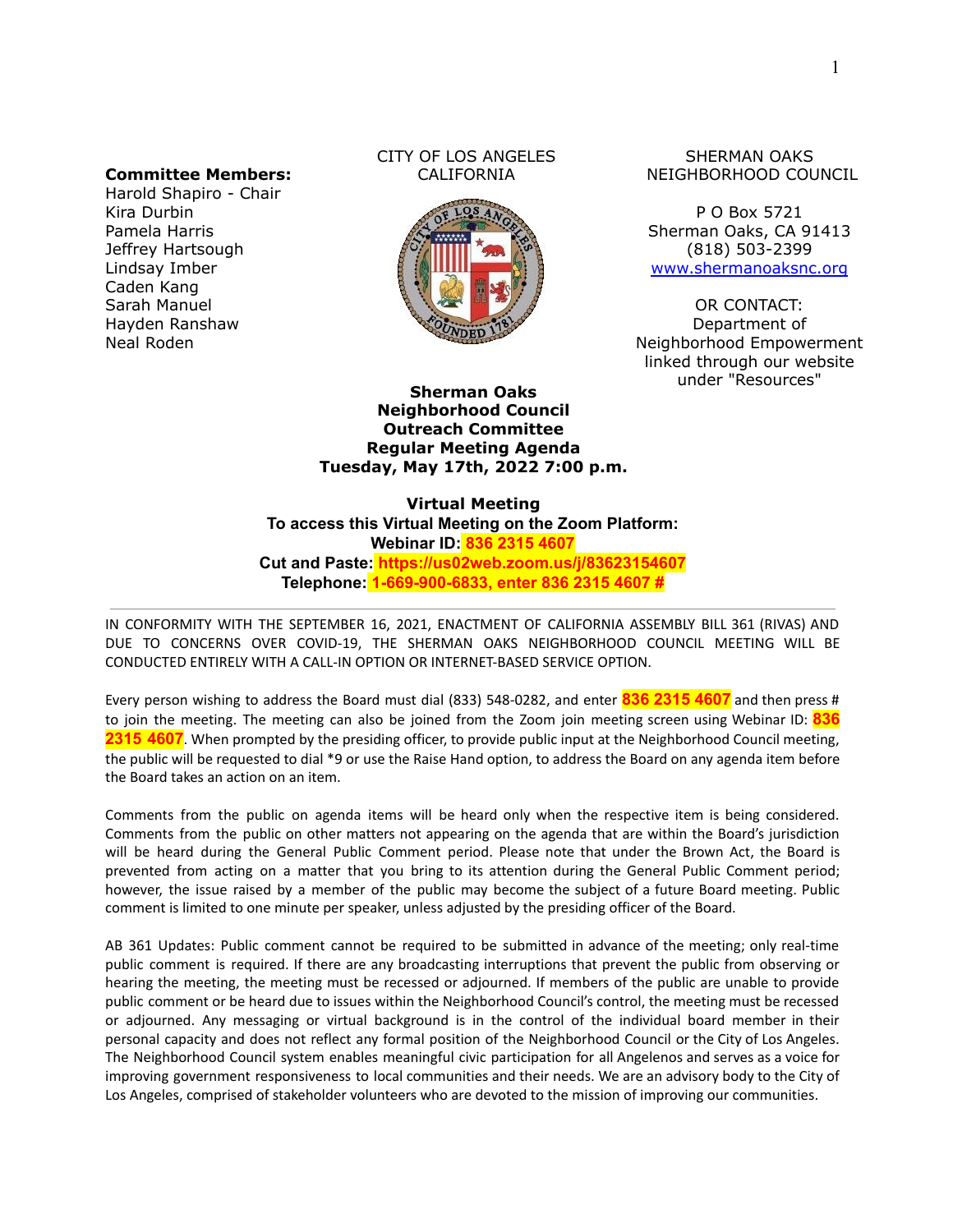#### **Committee Members:**

Harold Shapiro - Chair Kira Durbin Pamela Harris Jeffrey Hartsough Lindsay Imber Caden Kang Sarah Manuel Hayden Ranshaw Neal Roden

#### CITY OF LOS ANGELES CALIFORNIA



#### SHERMAN OAKS NEIGHBORHOOD COUNCIL

P O Box 5721 Sherman Oaks, CA 91413 (818) 503-2399 [www.shermanoaksnc.org](http://www.shermanoaksnc.org/)

OR CONTACT: Department of Neighborhood Empowerment linked through our website under "Resources"

**Sherman Oaks Neighborhood Council Outreach Committee Regular Meeting Agenda Tuesday, May 17th, 2022 7:00 p.m.**

**Virtual Meeting To access this Virtual Meeting on the Zoom Platform: Webinar ID: 836 2315 4607 Cut and Paste: https://us02web.zoom.us/j/83623154607 Telephone: 1-669-900-6833, enter 836 2315 4607 #**

IN CONFORMITY WITH THE SEPTEMBER 16, 2021, ENACTMENT OF CALIFORNIA ASSEMBLY BILL 361 (RIVAS) AND DUE TO CONCERNS OVER COVID-19, THE SHERMAN OAKS NEIGHBORHOOD COUNCIL MEETING WILL BE CONDUCTED ENTIRELY WITH A CALL-IN OPTION OR INTERNET-BASED SERVICE OPTION.

Every person wishing to address the Board must dial (833) 548-0282, and enter **836 2315 4607** and then press # to join the meeting. The meeting can also be joined from the Zoom join meeting screen using Webinar ID: **836 2315 4607**. When prompted by the presiding officer, to provide public input at the Neighborhood Council meeting, the public will be requested to dial \*9 or use the Raise Hand option, to address the Board on any agenda item before the Board takes an action on an item.

Comments from the public on agenda items will be heard only when the respective item is being considered. Comments from the public on other matters not appearing on the agenda that are within the Board's jurisdiction will be heard during the General Public Comment period. Please note that under the Brown Act, the Board is prevented from acting on a matter that you bring to its attention during the General Public Comment period; however, the issue raised by a member of the public may become the subject of a future Board meeting. Public comment is limited to one minute per speaker, unless adjusted by the presiding officer of the Board.

AB 361 Updates: Public comment cannot be required to be submitted in advance of the meeting; only real-time public comment is required. If there are any broadcasting interruptions that prevent the public from observing or hearing the meeting, the meeting must be recessed or adjourned. If members of the public are unable to provide public comment or be heard due to issues within the Neighborhood Council's control, the meeting must be recessed or adjourned. Any messaging or virtual background is in the control of the individual board member in their personal capacity and does not reflect any formal position of the Neighborhood Council or the City of Los Angeles. The Neighborhood Council system enables meaningful civic participation for all Angelenos and serves as a voice for improving government responsiveness to local communities and their needs. We are an advisory body to the City of Los Angeles, comprised of stakeholder volunteers who are devoted to the mission of improving our communities.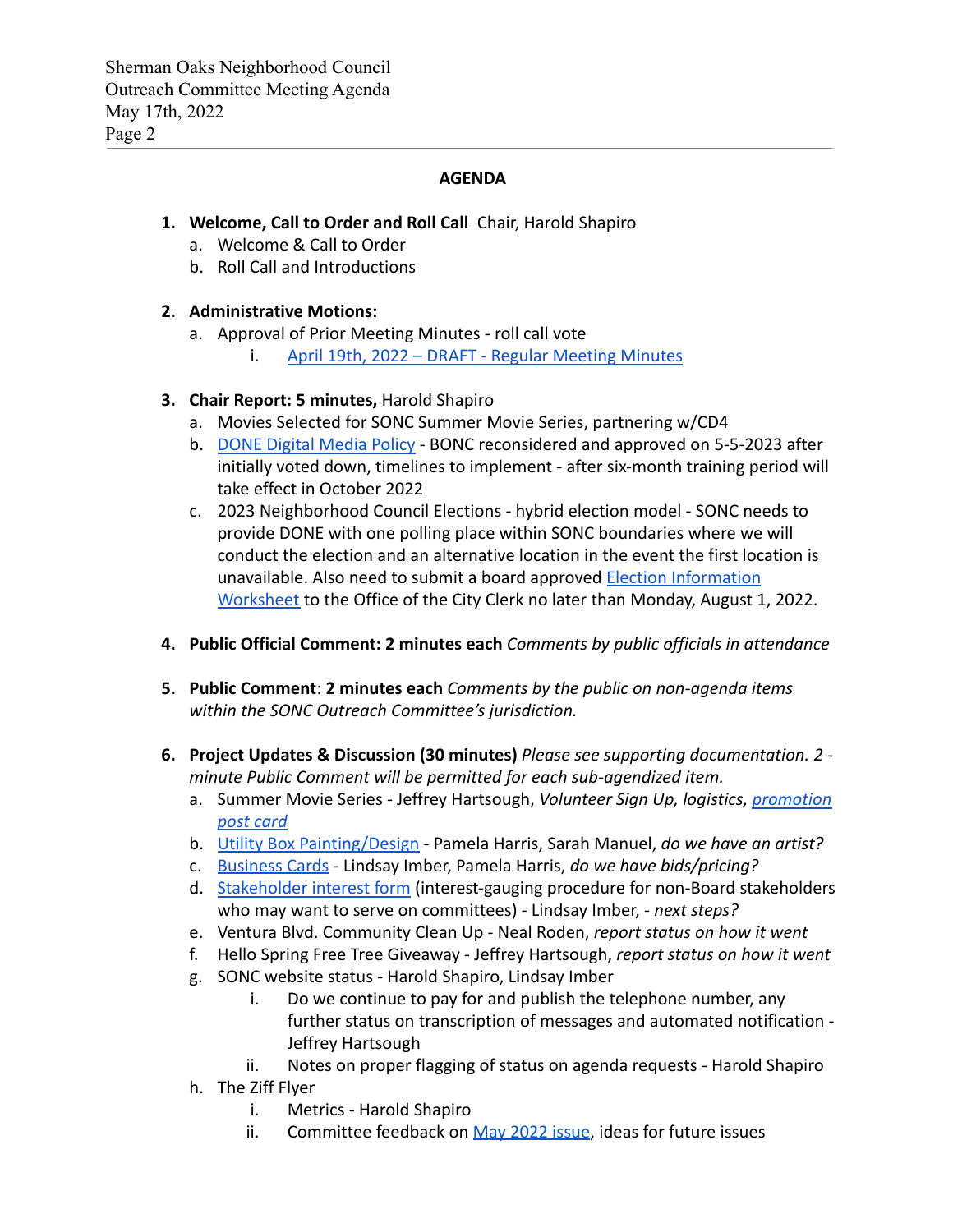## **AGENDA**

# **1. Welcome, Call to Order and Roll Call** Chair, Harold Shapiro

- a. Welcome & Call to Order
- b. Roll Call and Introductions

# **2. Administrative Motions:**

- a. Approval of Prior Meeting Minutes roll call vote
	- i. [April 19th, 2022 DRAFT Regular Meeting Minutes](https://www.shermanoaksnc.org/assets/documents/7/meeting62801fe5834a0.pdf)

# **3. Chair Report: 5 minutes,** Harold Shapiro

- a. Movies Selected for SONC Summer Movie Series, partnering w/CD4
- b. [DONE Digital Media Policy](http://tiny.cc/DigitalCommsPolicy) BONC reconsidered and approved on 5-5-2023 after initially voted down, timelines to implement - after six-month training period will take effect in October 2022
- c. 2023 Neighborhood Council Elections hybrid election model SONC needs to provide DONE with one polling place within SONC boundaries where we will conduct the election and an alternative location in the event the first location is unavailable. Also need to submit a board approved [Election Information](https://www.shermanoaksnc.org/assets/documents/7/meeting628020e1cc699.pdf) [Worksheet](https://www.shermanoaksnc.org/assets/documents/7/meeting628020e1cc699.pdf) to the Office of the City Clerk no later than Monday, August 1, 2022.
- **4. Public Official Comment: 2 minutes each** *Comments by public officials in attendance*
- **5. Public Comment**: **2 minutes each** *Comments by the public on non-agenda items within the SONC Outreach Committee's jurisdiction.*
- **6. Project Updates & Discussion (30 minutes)** *Please see supporting documentation. 2 minute Public Comment will be permitted for each sub-agendized item.*
	- a. Summer Movie Series Jeffrey Hartsough, *Volunteer Sign Up, logistics, [promotion](https://www.shermanoaksnc.org/assets/documents/7/meeting6280222414e24.pdf) [post card](https://www.shermanoaksnc.org/assets/documents/7/meeting6280222414e24.pdf)*
	- b. [Utility Box Painting/Design](https://www.shermanoaksnc.org/assets/documents/7/meeting62801f671caf9.pdf) Pamela Harris, Sarah Manuel, *do we have an artist?*
	- c. [Business Cards](https://www.shermanoaksnc.org/assets/documents/7/meeting625513de87764.jpg) Lindsay Imber, Pamela Harris, *do we have bids/pricing?*
	- d. [Stakeholder interest form](https://docs.google.com/forms/d/e/1FAIpQLSeweghLCK0dB7nqZhxRn3uwyehyNNpnuD3mACFCU6NEi2g8FQ/viewform) (interest-gauging procedure for non-Board stakeholders who may want to serve on committees) - Lindsay Imber, *- next steps?*
	- e. Ventura Blvd. Community Clean Up Neal Roden, *report status on how it went*
	- f. Hello Spring Free Tree Giveaway Jeffrey Hartsough, *report status on how it went*
	- g. SONC website status Harold Shapiro, Lindsay Imber
		- i. Do we continue to pay for and publish the telephone number, any further status on transcription of messages and automated notification - Jeffrey Hartsough
		- ii. Notes on proper flagging of status on agenda requests Harold Shapiro
	- h. The Ziff Flyer
		- i. Metrics Harold Shapiro
		- ii. Committee feedback on [May 2022 issue](https://conta.cc/38Wzvsr), ideas for future issues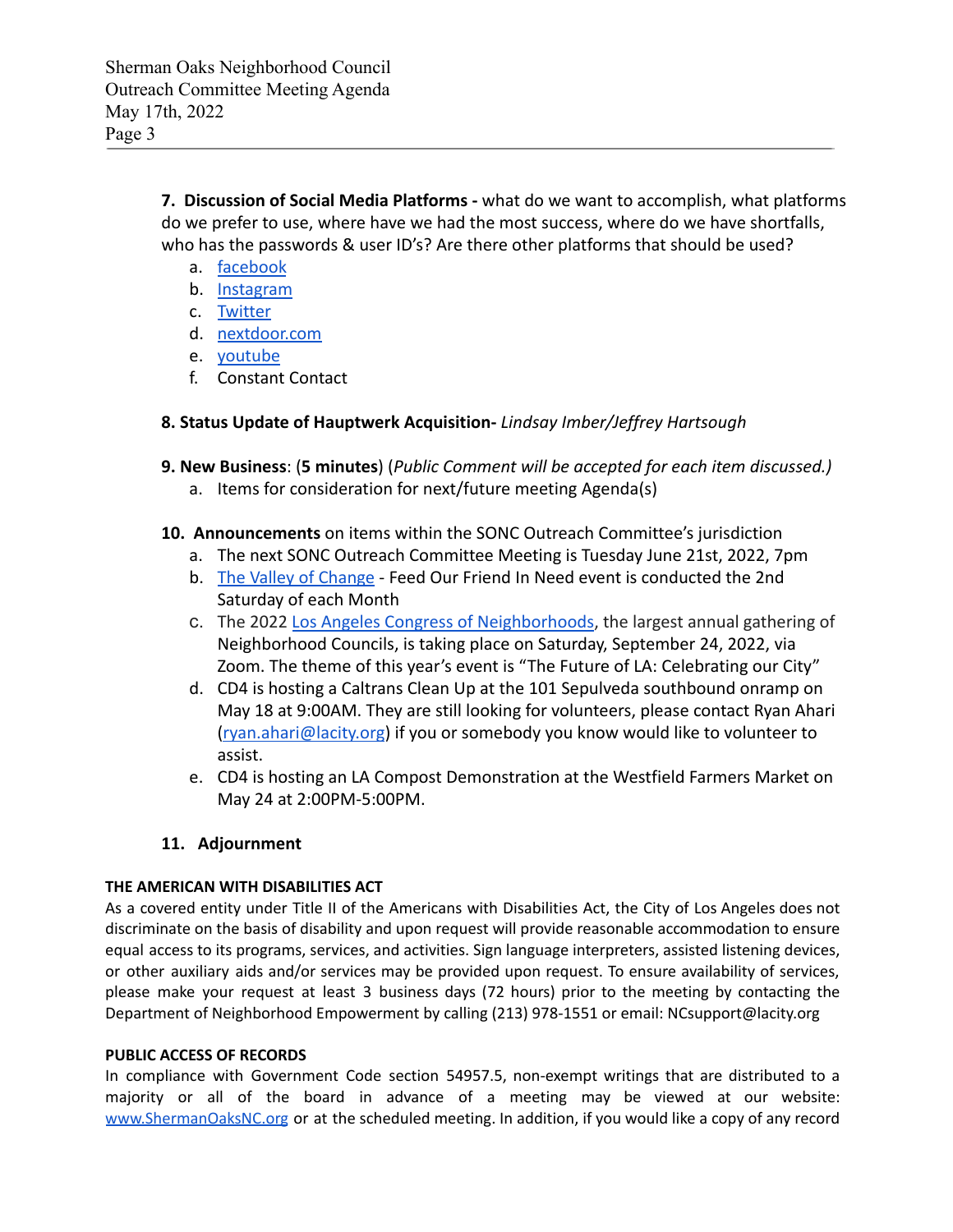**7. Discussion of Social Media Platforms -** what do we want to accomplish, what platforms do we prefer to use, where have we had the most success, where do we have shortfalls, who has the passwords & user ID's? Are there other platforms that should be used?

- a. [facebook](https://www.facebook.com/ShermanOaksNC/)
- b. [Instagram](https://www.instagram.com/shermanoaksnc/?hl=en)
- c. [Twitter](https://twitter.com/so_nc_?lang=en)
- d. [nextdoor.com](https://nextdoor.com/agency/empowerla/?i=rrpkjgzhfbkljbjphjgs)
- e. [youtube](https://www.youtube.com/channel/UCXTlDVq_eJdzF1RTiZlBJAQ/videos)
- f. Constant Contact

## **8. Status Update of Hauptwerk Acquisition-** *Lindsay Imber/Jeffrey Hartsough*

- **9. New Business**: (**5 minutes**) (*Public Comment will be accepted for each item discussed.)*
	- a. Items for consideration for next/future meeting Agenda(s)
- **10. Announcements** on items within the SONC Outreach Committee's jurisdiction
	- a. The next SONC Outreach Committee Meeting is Tuesday June 21st, 2022, 7pm
	- b. [The Valley of Change](http://thevalleyofchange.org/) Feed Our Friend In Need event is conducted the 2nd Saturday of each Month
	- c. The 2022 [Los Angeles Congress of Neighborhoods,](https://www.neighborhoodcongress.la/) the largest annual gathering of Neighborhood Councils, is taking place on Saturday, September 24, 2022, via Zoom. The theme of this year's event is "The Future of LA: Celebrating our City"
	- d. CD4 is hosting a Caltrans Clean Up at the 101 Sepulveda southbound onramp on May 18 at 9:00AM. They are still looking for volunteers, please contact Ryan Ahari [\(ryan.ahari@lacity.org](mailto:ryan.ahari@lacity.org)) if you or somebody you know would like to volunteer to assist.
	- e. CD4 is hosting an LA Compost Demonstration at the Westfield Farmers Market on May 24 at 2:00PM-5:00PM.

## **11. Adjournment**

## **THE AMERICAN WITH DISABILITIES ACT**

As a covered entity under Title II of the Americans with Disabilities Act, the City of Los Angeles does not discriminate on the basis of disability and upon request will provide reasonable accommodation to ensure equal access to its programs, services, and activities. Sign language interpreters, assisted listening devices, or other auxiliary aids and/or services may be provided upon request. To ensure availability of services, please make your request at least 3 business days (72 hours) prior to the meeting by contacting the Department of Neighborhood Empowerment by calling (213) 978-1551 or email: NCsupport@lacity.org

### **PUBLIC ACCESS OF RECORDS**

In compliance with Government Code section 54957.5, non-exempt writings that are distributed to a majority or all of the board in advance of a meeting may be viewed at our website: [www.ShermanOaksNC.org](http://www.shermanoaksnc.org) or at the scheduled meeting. In addition, if you would like a copy of any record